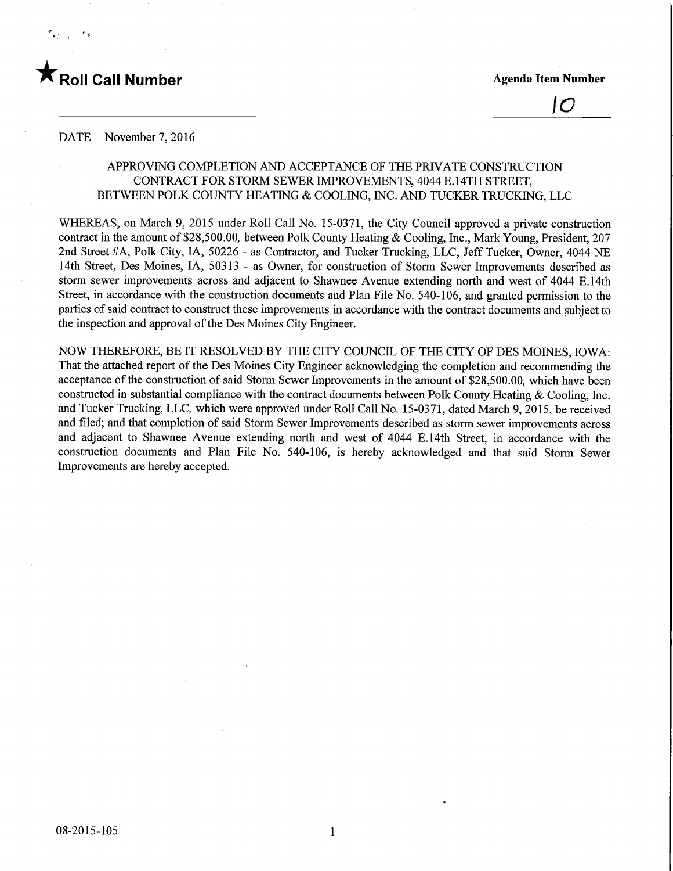## **Roll Call Number** Agenda Item Number

10

#### DATE November 7, 2016

#### APPROVING COMPLETION AND ACCEPTANCE OF THE PRIVATE CONSTRUCTION CONTRACT FOR STORM SEWER IMPROVEMENTS, 4044 E.14TH STREET, BETWEEN POLK COUNTY HEATING & COOLING, INC. AND TUCKER TRUCKING, LLC

WHEREAS, on March 9, 2015 under Roll Call No. 15-0371, the City Council approved a private construction contract in the amount of \$28,500.00, between Polk County Heating & Cooling, Inc., Mark Young, President, 207 2nd Street #A, Polk City, IA, 50226 - as Contractor, and Tucker Trucking, LLC, Jeff Tucker, Owner, 4044 NE 14th Street, Des Moines, IA, 50313 - as Owner, for construction of Storm Sewer Improvements described as storm sewer improvements across and adjacent to Shawnee Avenue extending north and west of 4044 E. 14th Street, in accordance with the construction documents and Plan File No. 540-106, and granted permission to the parties of said contract to construct these improvements in accordance with the contract documents and subject to the inspection and approval of the Des Moines City Engineer.

NOW THEREFORE, BE IT RESOLVED BY THE CITY COUNCIL OF THE CITY OF DES MOINES, IOWA: That the attached report of the Des Moines City Engineer acknowledging the completion and recommending the acceptance of the construction of said Storm Sewer Improvements in the amount of \$28,500.00, which have been constructed in substantial compliance with the contract documents between Polk County Heating & Cooling, Inc. and Tucker Trucking, LLC, which were approved under Roll Call No. 15-0371, dated March 9, 2015, be received and filed; and that completion of said Storm Sewer Improvements described as storm sewer improvements across and adjacent to Shawnee Avenue extending north and west of 4044 E. 14th Street, in accordance with the construction documents and Plan File No. 540-106, is hereby acknowledged and that said Storm Sewer Improvements are hereby accepted.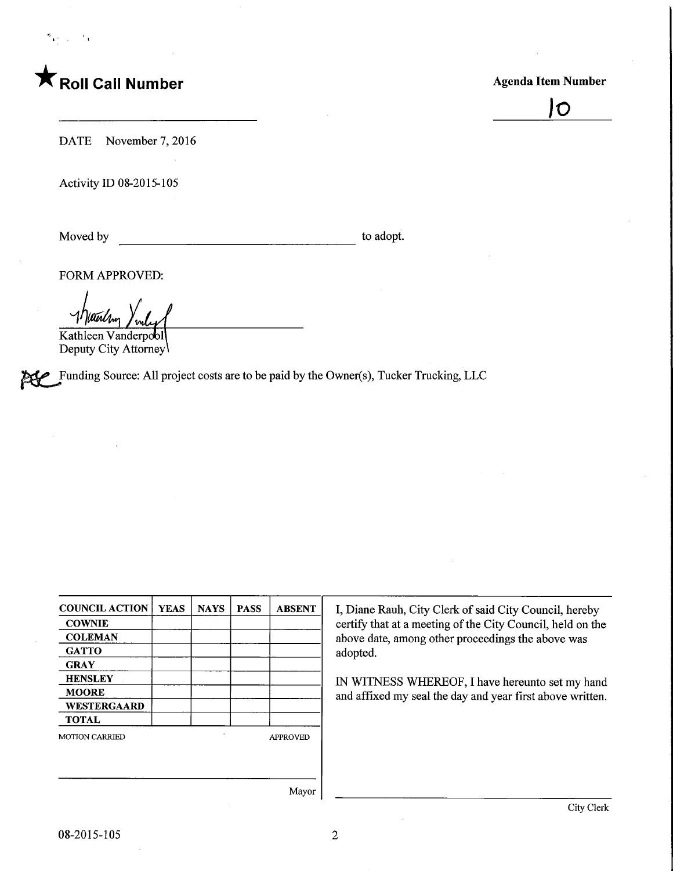# $\blacksquare$  Roll Call Number  $\blacksquare$  Agenda Item Number

JO

DATE November 7, 2016

Activity ID 08-2015-105

Moved by to adopt.

FORM APPROVED:

Werlan

Kathleen Vanderpool Deputy City Attorney

Funding Source: All project costs are to be paid by the Owner(s), Tucker Trucking, LLC

COUNCIL ACTION **COWNIE COLEMAN GATTO GRAY HENSLEY** MOORE WESTERGAARD TOTAL **YEAS** MOTION CARRIED NAYS | PASS | ABSENT APPROVED Mayor

I, Diane Rauh, City Clerk of said City Council, hereby certify that at a meeting of the City Council, held on the above date, among other proceedings the above was adopted.

IN WITNESS WHEREOF, I have hereunto set my hand and affixed my seal the day and year first above written.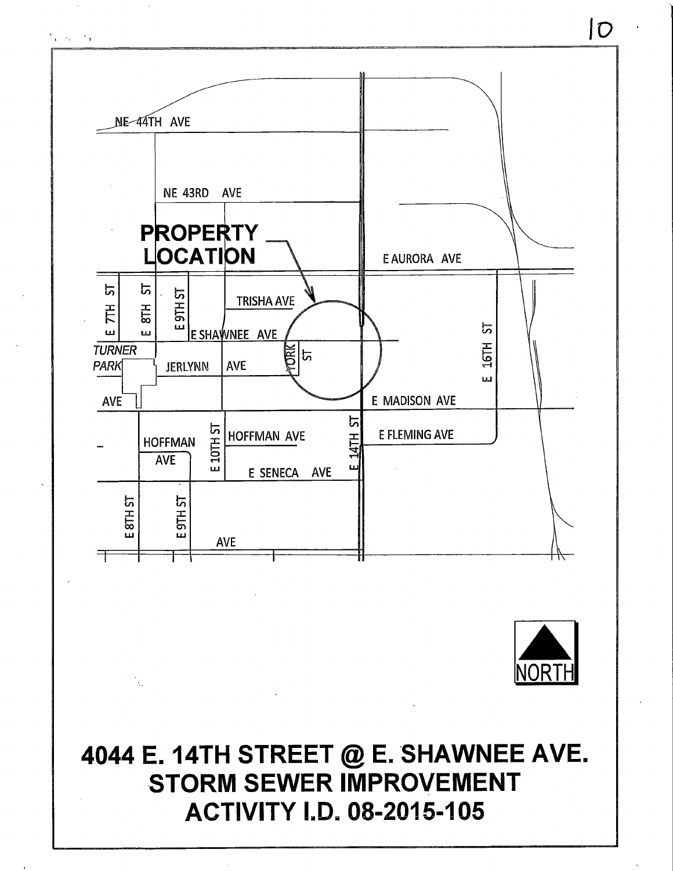



4044 E. 14TH STREET @ E. SHAWNEE AVE. **STORM SEWER IMPROVEMENT ACTIVITY I.D. 08-2015-105** 

 $\mathcal{L}_{\mathcal{A}}$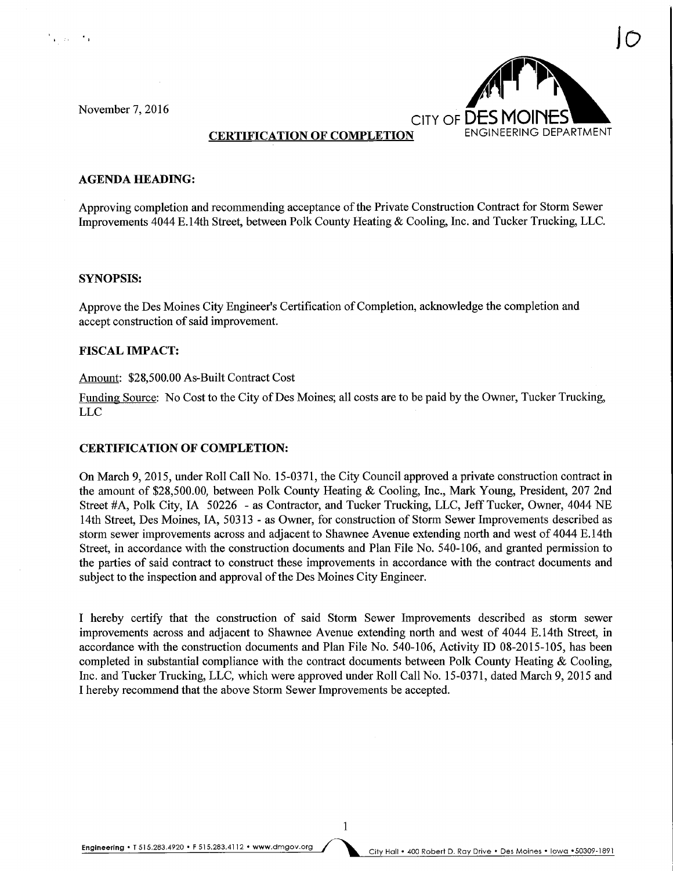ha an ch



#### **CERTIFICATION OF COMPLETION**

#### AGENDA HEADmG:

Approving completion and recommending acceptance of the Private Construction Contract for Storm Sewer Improvements 4044 E. 14th Street, between Polk County Heating & Cooling, Inc. and Tucker Trucking, LLC.

#### SYNOPSIS:

Approve the Des Moines City Engineer's Certification of Completion, acknowledge the completion and accept construction of said improvement.

#### FISCAL IMPACT:

#### Amount: \$28,500.00 As-Built Contract Cost

Funding Source: No Cost to the City of Des Moines; all costs are to be paid by the Owner, Tucker Trucking, LLC

#### CERTIFICATION OF COMPLETION:

On March 9, 2015, under Roll Call No. 15-0371, the City Council approved a private construction contract in the amount of \$28,500.00, between Polk County Heating & Cooling, Inc., Mark Young, President, 207 2nd Street #A, Polk City, IA 50226 - as Contractor, and Tucker Trucking, LLC, Jeff Tucker, Owner, 4044 NE 14th Street, Des Moines, IA, 50313 - as Owner, for construction of Storm Sewer Improvements described as storm sewer improvements across and adjacent to Shawnee Avenue extending north and west of 4044 E. 14th Street, in accordance with the construction documents and Plan File No. 540-106, and granted permission to the parties of said contract to construct these improvements in accordance with the contract documents and subject to the inspection and approval of the Des Moines City Engineer.

I hereby certify that the construction of said Storm Sewer Improvements described as storm sewer improvements across and adjacent to Shawnee Avenue extending north and west of 4044 E. 14th Street, in accordance with the construction documents and Plan File No. 540-106, Activity ID 08-2015-105, has been completed in substantial compliance with the contract documents between Polk County Heating & Cooling, Inc. and Tucker Trucking, LLC, which were approved under Roll Call No. 15-0371, dated March 9, 2015 and I hereby recommend that the above Storm Sewer Improvements be accepted.

 $\mathbf{1}$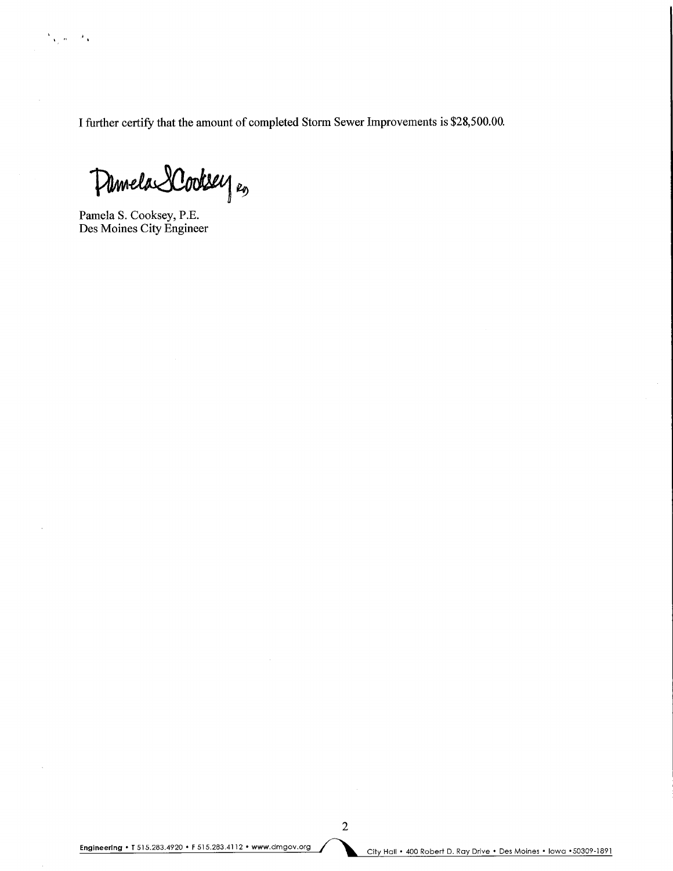I further certify that the amount of completed Storm Sewer Improvements is \$28,500.00.

Damela SCooksey es

Pamela S. Cooksey, P.E. Des Moines City Engineer

 $\chi_1(\mathbf{w}) \in \mathcal{F}_A$